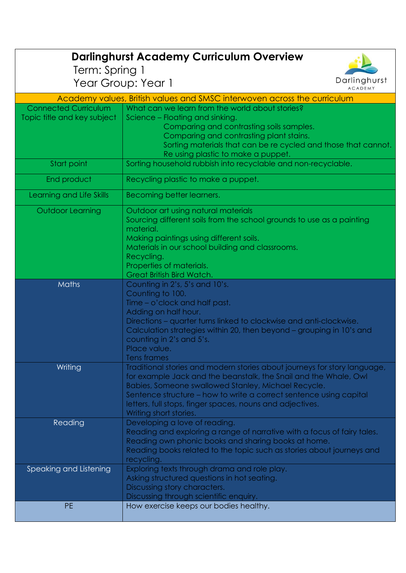## **Darlinghurst Academy Curriculum Overview**

Term: Spring 1

Year Group: Year 1



| Academy values, British values and SMSC interwoven across the curriculum |                                                                           |
|--------------------------------------------------------------------------|---------------------------------------------------------------------------|
| <b>Connected Curriculum</b>                                              | What can we learn from the world about stories?                           |
| Topic title and key subject                                              | Science – Floating and sinking.                                           |
|                                                                          | Comparing and contrasting soils samples.                                  |
|                                                                          | Comparing and contrasting plant stains.                                   |
|                                                                          | Sorting materials that can be re cycled and those that cannot.            |
|                                                                          | Re using plastic to make a puppet.                                        |
| Start point                                                              | Sorting household rubbish into recyclable and non-recyclable.             |
|                                                                          |                                                                           |
| End product                                                              | Recycling plastic to make a puppet.                                       |
| Learning and Life Skills                                                 | Becoming better learners.                                                 |
| <b>Outdoor Learning</b>                                                  | Outdoor art using natural materials                                       |
|                                                                          | Sourcing different soils from the school grounds to use as a painting     |
|                                                                          | material.                                                                 |
|                                                                          | Making paintings using different soils.                                   |
|                                                                          | Materials in our school building and classrooms.                          |
|                                                                          | Recycling.                                                                |
|                                                                          | Properties of materials.                                                  |
|                                                                          | Great British Bird Watch.                                                 |
| Maths                                                                    | Counting in 2's, 5's and 10's.                                            |
|                                                                          | Counting to 100.                                                          |
|                                                                          | Time - o'clock and half past.                                             |
|                                                                          | Adding on half hour.                                                      |
|                                                                          | Directions - quarter turns linked to clockwise and anti-clockwise.        |
|                                                                          | Calculation strategies within 20, then beyond – grouping in 10's and      |
|                                                                          | counting in 2's and 5's.                                                  |
|                                                                          | Place value.                                                              |
|                                                                          | <b>Tens frames</b>                                                        |
| Writing                                                                  | Traditional stories and modern stories about journeys for story language, |
|                                                                          | for example Jack and the beanstalk, the Snail and the Whale, Owl          |
|                                                                          | Babies, Someone swallowed Stanley, Michael Recycle.                       |
|                                                                          | Sentence structure – how to write a correct sentence using capital        |
|                                                                          | letters, full stops, finger spaces, nouns and adjectives.                 |
|                                                                          | Writing short stories.                                                    |
| Reading                                                                  | Developing a love of reading.                                             |
|                                                                          | Reading and exploring a range of narrative with a focus of fairy tales.   |
|                                                                          | Reading own phonic books and sharing books at home.                       |
|                                                                          | Reading books related to the topic such as stories about journeys and     |
|                                                                          | recycling.                                                                |
| Speaking and Listening                                                   | Exploring texts through drama and role play.                              |
|                                                                          | Asking structured questions in hot seating.                               |
|                                                                          | Discussing story characters.                                              |
|                                                                          | Discussing through scientific enquiry.                                    |
| <b>PE</b>                                                                | How exercise keeps our bodies healthy.                                    |
|                                                                          |                                                                           |